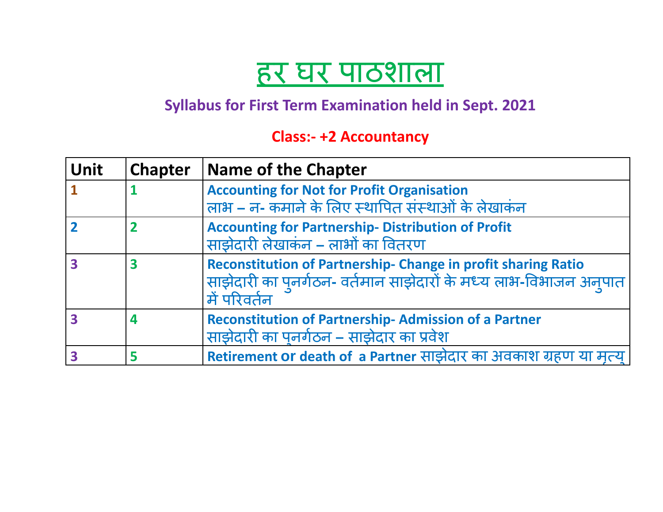## हर घर पाठशाला

## **Syllabus for First Term Examination held in Sept. 2021**

## **Class:- +2 Accountancy**

| <b>Unit</b> | <b>Chapter</b> | <b>Name of the Chapter</b>                                                                                                                                  |
|-------------|----------------|-------------------------------------------------------------------------------------------------------------------------------------------------------------|
|             |                | <b>Accounting for Not for Profit Organisation</b>                                                                                                           |
|             |                | लाभ - न- कमाने के लिए स्थापित संस्थाओं के लेखाकंन                                                                                                           |
|             |                | <b>Accounting for Partnership- Distribution of Profit</b><br>साझेदारी लेखाकंन - लाभों का वितरण                                                              |
| 3           |                | <b>Reconstitution of Partnership- Change in profit sharing Ratio</b><br>साझेदारी का पुनर्गठन- वर्तमान साझेदारों के मध्य लाभ-विभाजन अनुपात<br>। में परिवर्तन |
|             | 4              | <b>Reconstitution of Partnership-Admission of a Partner</b><br>साझेदारी का पुनर्गठन – साझेदार का प्रवेश                                                     |
|             |                | Retirement or death of a Partner साझेदार का अवकाश ग्रहण या मृत्य                                                                                            |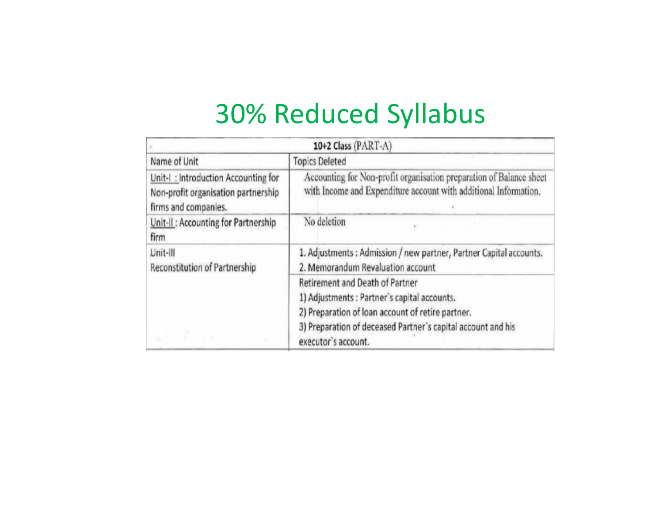# 30% Reduced Syllabus

| 10+2 Class (PART-A)                                                                                |                                                                                                                                                                                                                             |  |  |  |  |  |  |
|----------------------------------------------------------------------------------------------------|-----------------------------------------------------------------------------------------------------------------------------------------------------------------------------------------------------------------------------|--|--|--|--|--|--|
| Name of Unit                                                                                       | <b>Topics Deleted</b>                                                                                                                                                                                                       |  |  |  |  |  |  |
| Unit-I: Introduction Accounting for<br>Non-profit organisation partnership<br>firms and companies. | Accounting for Non-profit organisation preparation of Balance sheet<br>with Income and Expenditure account with additional Information.                                                                                     |  |  |  |  |  |  |
| Unit-II: Accounting for Partnership<br>firm                                                        | No deletion                                                                                                                                                                                                                 |  |  |  |  |  |  |
| Unit-III<br>Reconstitution of Partnership                                                          | 1. Adjustments: Admission / new partner, Partner Capital accounts.<br>2. Memorandum Revaluation account                                                                                                                     |  |  |  |  |  |  |
|                                                                                                    | Retirement and Death of Partner<br>1) Adjustments : Partner's capital accounts.<br>2) Preparation of loan account of retire partner.<br>3) Preparation of deceased Partner's capital account and his<br>executor's account. |  |  |  |  |  |  |